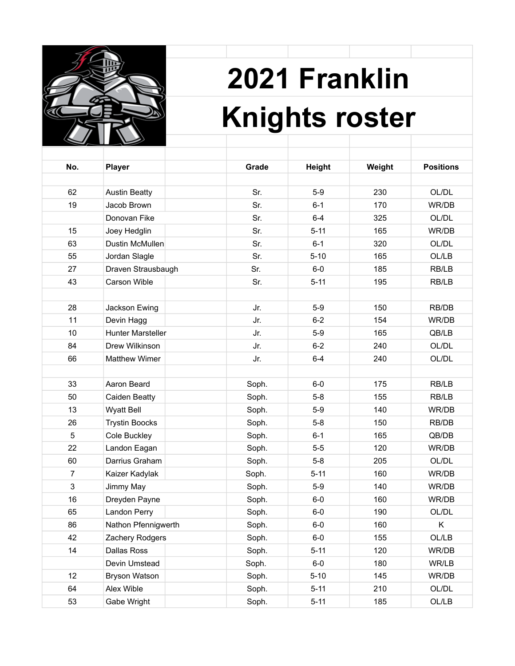

## **2021 Franklin Knights roster**

| No.            | <b>Player</b>            | Grade | <b>Height</b> | Weight | <b>Positions</b> |
|----------------|--------------------------|-------|---------------|--------|------------------|
|                |                          |       |               |        |                  |
| 62             | <b>Austin Beatty</b>     | Sr.   | $5-9$         | 230    | OL/DL            |
| 19             | Jacob Brown              | Sr.   | $6 - 1$       | 170    | WR/DB            |
|                | Donovan Fike             | Sr.   | $6 - 4$       | 325    | OL/DL            |
| 15             | Joey Hedglin             | Sr.   | $5 - 11$      | 165    | WR/DB            |
| 63             | Dustin McMullen          | Sr.   | $6 - 1$       | 320    | OL/DL            |
| 55             | Jordan Slagle            | Sr.   | $5 - 10$      | 165    | OL/LB            |
| 27             | Draven Strausbaugh       | Sr.   | $6-0$         | 185    | RB/LB            |
| 43             | Carson Wible             | Sr.   | $5 - 11$      | 195    | RB/LB            |
|                |                          |       |               |        |                  |
| 28             | Jackson Ewing            | Jr.   | $5-9$         | 150    | RB/DB            |
| 11             | Devin Hagg               | Jr.   | $6 - 2$       | 154    | WR/DB            |
| 10             | <b>Hunter Marsteller</b> | Jr.   | $5-9$         | 165    | QB/LB            |
| 84             | Drew Wilkinson           | Jr.   | $6 - 2$       | 240    | OL/DL            |
| 66             | <b>Matthew Wimer</b>     | Jr.   | $6 - 4$       | 240    | OL/DL            |
|                |                          |       |               |        |                  |
| 33             | Aaron Beard              | Soph. | $6-0$         | 175    | RB/LB            |
| 50             | Caiden Beatty            | Soph. | $5 - 8$       | 155    | RB/LB            |
| 13             | <b>Wyatt Bell</b>        | Soph. | $5-9$         | 140    | WR/DB            |
| 26             | <b>Trystin Boocks</b>    | Soph. | $5-8$         | 150    | RB/DB            |
| 5              | Cole Buckley             | Soph. | $6 - 1$       | 165    | QB/DB            |
| 22             | Landon Eagan             | Soph. | $5-5$         | 120    | WR/DB            |
| 60             | Darrius Graham           | Soph. | $5 - 8$       | 205    | OL/DL            |
| $\overline{7}$ | Kaizer Kadylak           | Soph. | $5 - 11$      | 160    | WR/DB            |
| 3              | Jimmy May                | Soph. | $5-9$         | 140    | WR/DB            |
| 16             | Dreyden Payne            | Soph. | $6-0$         | 160    | WR/DB            |
| 65             | Landon Perry             | Soph. | $6-0$         | 190    | OL/DL            |
| 86             | Nathon Pfennigwerth      | Soph. | $6-0$         | 160    | Κ                |
| 42             | Zachery Rodgers          | Soph. | $6-0$         | 155    | OL/LB            |
| 14             | Dallas Ross              | Soph. | $5 - 11$      | 120    | WR/DB            |
|                | Devin Umstead            | Soph. | $6-0$         | 180    | WR/LB            |
| 12             | Bryson Watson            | Soph. | $5 - 10$      | 145    | WR/DB            |
| 64             | Alex Wible               | Soph. | $5 - 11$      | 210    | OL/DL            |
| 53             | Gabe Wright              | Soph. | $5 - 11$      | 185    | OL/LB            |